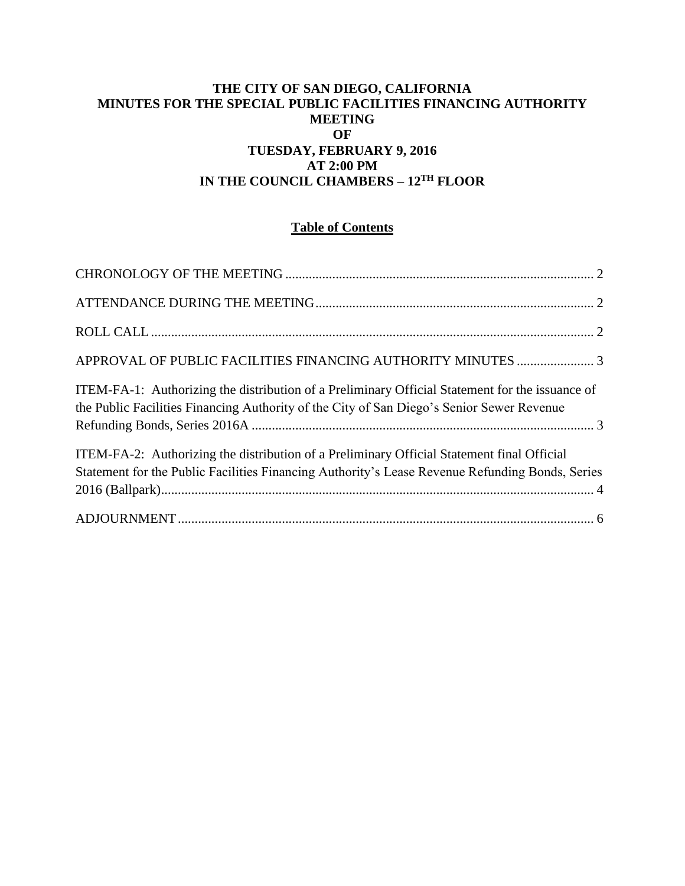#### **THE CITY OF SAN DIEGO, CALIFORNIA MINUTES FOR THE SPECIAL PUBLIC FACILITIES FINANCING AUTHORITY MEETING OF TUESDAY, FEBRUARY 9, 2016 AT 2:00 PM IN THE COUNCIL CHAMBERS – 12TH FLOOR**

#### **Table of Contents**

| ITEM-FA-1: Authorizing the distribution of a Preliminary Official Statement for the issuance of<br>the Public Facilities Financing Authority of the City of San Diego's Senior Sewer Revenue  |  |
|-----------------------------------------------------------------------------------------------------------------------------------------------------------------------------------------------|--|
| ITEM-FA-2: Authorizing the distribution of a Preliminary Official Statement final Official<br>Statement for the Public Facilities Financing Authority's Lease Revenue Refunding Bonds, Series |  |
|                                                                                                                                                                                               |  |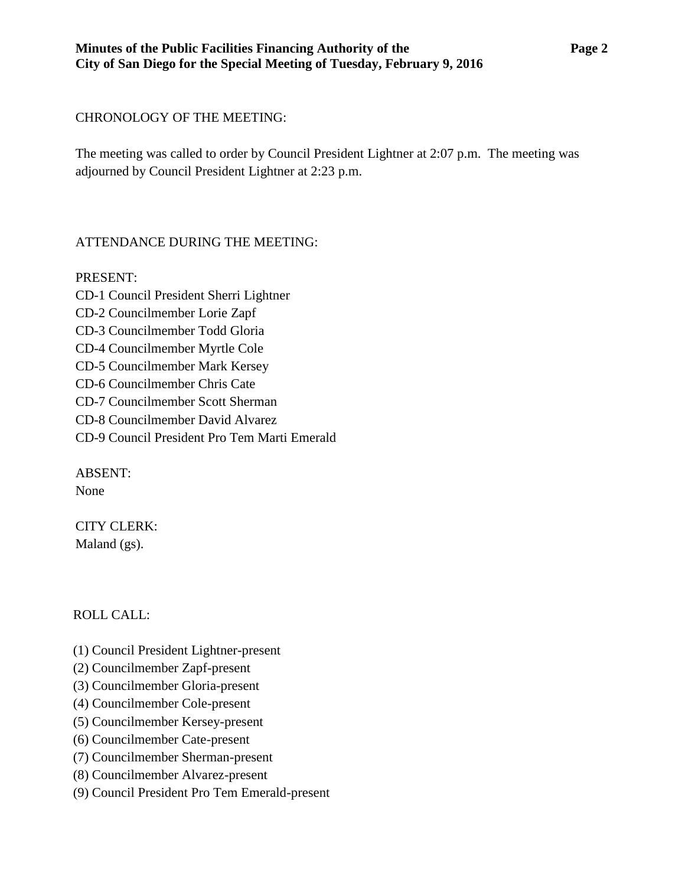## <span id="page-1-0"></span>CHRONOLOGY OF THE MEETING:

The meeting was called to order by Council President Lightner at 2:07 p.m. The meeting was adjourned by Council President Lightner at 2:23 p.m.

# <span id="page-1-1"></span>ATTENDANCE DURING THE MEETING:

PRESENT: CD-1 Council President Sherri Lightner CD-2 Councilmember Lorie Zapf CD-3 Councilmember Todd Gloria CD-4 Councilmember Myrtle Cole CD-5 Councilmember Mark Kersey CD-6 Councilmember Chris Cate CD-7 Councilmember Scott Sherman CD-8 Councilmember David Alvarez CD-9 Council President Pro Tem Marti Emerald

ABSENT: None

CITY CLERK: Maland (gs).

# <span id="page-1-2"></span>ROLL CALL:

- (1) Council President Lightner-present
- (2) Councilmember Zapf-present
- (3) Councilmember Gloria-present
- (4) Councilmember Cole-present
- (5) Councilmember Kersey-present
- (6) Councilmember Cate-present
- (7) Councilmember Sherman-present
- (8) Councilmember Alvarez-present
- (9) Council President Pro Tem Emerald-present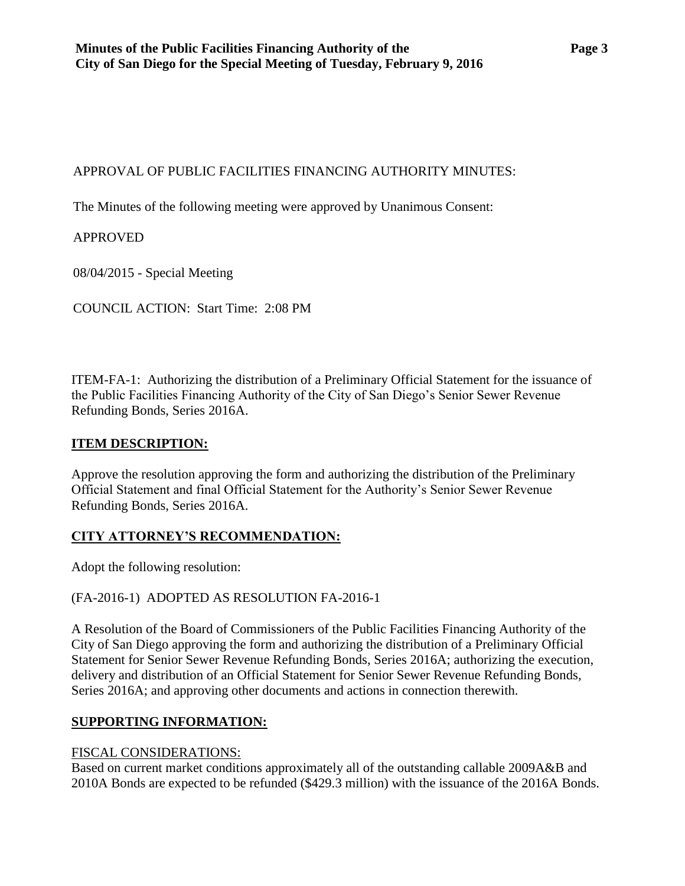## <span id="page-2-0"></span>APPROVAL OF PUBLIC FACILITIES FINANCING AUTHORITY MINUTES:

The Minutes of the following meeting were approved by Unanimous Consent:

# APPROVED

08/04/2015 - Special Meeting

COUNCIL ACTION: Start Time: 2:08 PM

<span id="page-2-1"></span>ITEM-FA-1: Authorizing the distribution of a Preliminary Official Statement for the issuance of the Public Facilities Financing Authority of the City of San Diego's Senior Sewer Revenue Refunding Bonds, Series 2016A.

## **ITEM DESCRIPTION:**

Approve the resolution approving the form and authorizing the distribution of the Preliminary Official Statement and final Official Statement for the Authority's Senior Sewer Revenue Refunding Bonds, Series 2016A.

# **CITY ATTORNEY'S RECOMMENDATION:**

Adopt the following resolution:

(FA-2016-1) ADOPTED AS RESOLUTION FA-2016-1

A Resolution of the Board of Commissioners of the Public Facilities Financing Authority of the City of San Diego approving the form and authorizing the distribution of a Preliminary Official Statement for Senior Sewer Revenue Refunding Bonds, Series 2016A; authorizing the execution, delivery and distribution of an Official Statement for Senior Sewer Revenue Refunding Bonds, Series 2016A; and approving other documents and actions in connection therewith.

### **SUPPORTING INFORMATION:**

### FISCAL CONSIDERATIONS:

Based on current market conditions approximately all of the outstanding callable 2009A&B and 2010A Bonds are expected to be refunded (\$429.3 million) with the issuance of the 2016A Bonds.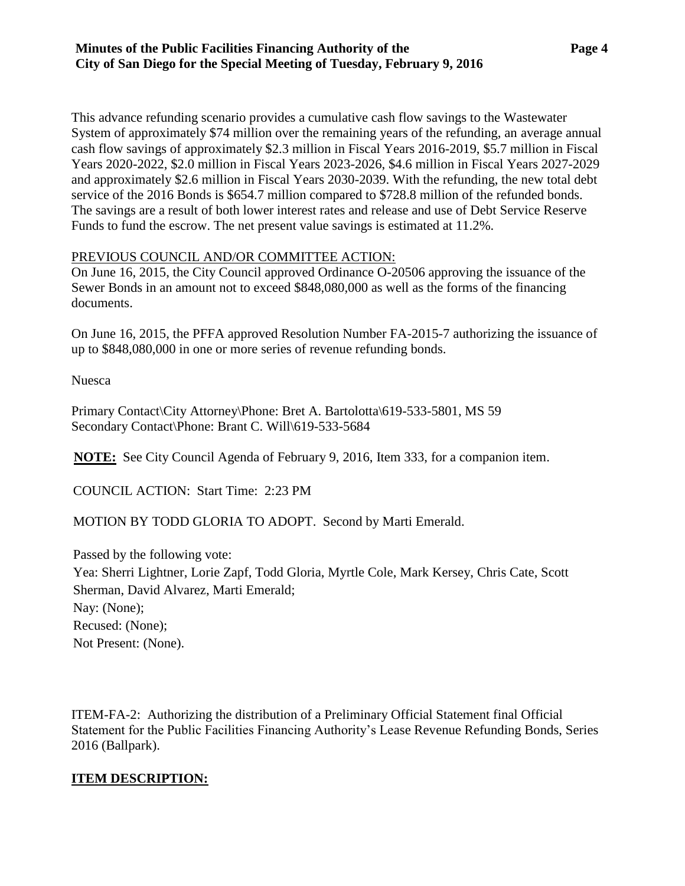This advance refunding scenario provides a cumulative cash flow savings to the Wastewater System of approximately \$74 million over the remaining years of the refunding, an average annual cash flow savings of approximately \$2.3 million in Fiscal Years 2016-2019, \$5.7 million in Fiscal Years 2020-2022, \$2.0 million in Fiscal Years 2023-2026, \$4.6 million in Fiscal Years 2027-2029 and approximately \$2.6 million in Fiscal Years 2030-2039. With the refunding, the new total debt service of the 2016 Bonds is \$654.7 million compared to \$728.8 million of the refunded bonds. The savings are a result of both lower interest rates and release and use of Debt Service Reserve Funds to fund the escrow. The net present value savings is estimated at 11.2%.

### PREVIOUS COUNCIL AND/OR COMMITTEE ACTION:

On June 16, 2015, the City Council approved Ordinance O-20506 approving the issuance of the Sewer Bonds in an amount not to exceed \$848,080,000 as well as the forms of the financing documents.

On June 16, 2015, the PFFA approved Resolution Number FA-2015-7 authorizing the issuance of up to \$848,080,000 in one or more series of revenue refunding bonds.

Nuesca

Primary Contact\City Attorney\Phone: Bret A. Bartolotta\619-533-5801, MS 59 Secondary Contact\Phone: Brant C. Will\619-533-5684

**NOTE:** See City Council Agenda of February 9, 2016, Item 333, for a companion item.

COUNCIL ACTION: Start Time: 2:23 PM

MOTION BY TODD GLORIA TO ADOPT. Second by Marti Emerald.

Passed by the following vote: Yea: Sherri Lightner, Lorie Zapf, Todd Gloria, Myrtle Cole, Mark Kersey, Chris Cate, Scott Sherman, David Alvarez, Marti Emerald; Nay: (None); Recused: (None); Not Present: (None).

<span id="page-3-0"></span>ITEM-FA-2: Authorizing the distribution of a Preliminary Official Statement final Official Statement for the Public Facilities Financing Authority's Lease Revenue Refunding Bonds, Series 2016 (Ballpark).

### **ITEM DESCRIPTION:**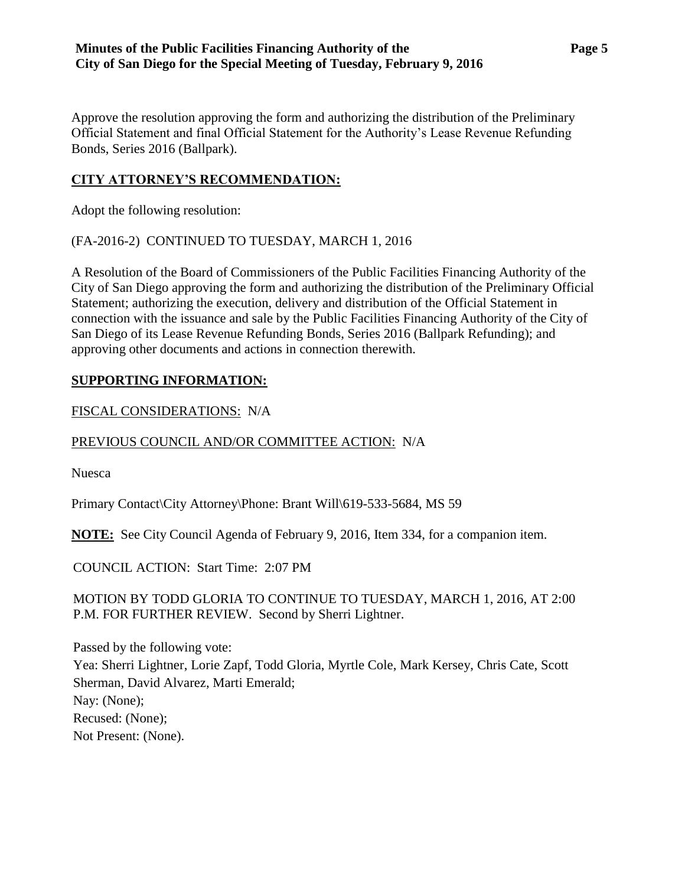Approve the resolution approving the form and authorizing the distribution of the Preliminary Official Statement and final Official Statement for the Authority's Lease Revenue Refunding Bonds, Series 2016 (Ballpark).

## **CITY ATTORNEY'S RECOMMENDATION:**

Adopt the following resolution:

(FA-2016-2) CONTINUED TO TUESDAY, MARCH 1, 2016

A Resolution of the Board of Commissioners of the Public Facilities Financing Authority of the City of San Diego approving the form and authorizing the distribution of the Preliminary Official Statement; authorizing the execution, delivery and distribution of the Official Statement in connection with the issuance and sale by the Public Facilities Financing Authority of the City of San Diego of its Lease Revenue Refunding Bonds, Series 2016 (Ballpark Refunding); and approving other documents and actions in connection therewith.

### **SUPPORTING INFORMATION:**

FISCAL CONSIDERATIONS: N/A

### PREVIOUS COUNCIL AND/OR COMMITTEE ACTION: N/A

Nuesca

Primary Contact\City Attorney\Phone: Brant Will\619-533-5684, MS 59

**NOTE:** See City Council Agenda of February 9, 2016, Item 334, for a companion item.

COUNCIL ACTION: Start Time: 2:07 PM

MOTION BY TODD GLORIA TO CONTINUE TO TUESDAY, MARCH 1, 2016, AT 2:00 P.M. FOR FURTHER REVIEW. Second by Sherri Lightner.

Passed by the following vote: Yea: Sherri Lightner, Lorie Zapf, Todd Gloria, Myrtle Cole, Mark Kersey, Chris Cate, Scott Sherman, David Alvarez, Marti Emerald; Nay: (None); Recused: (None); Not Present: (None).